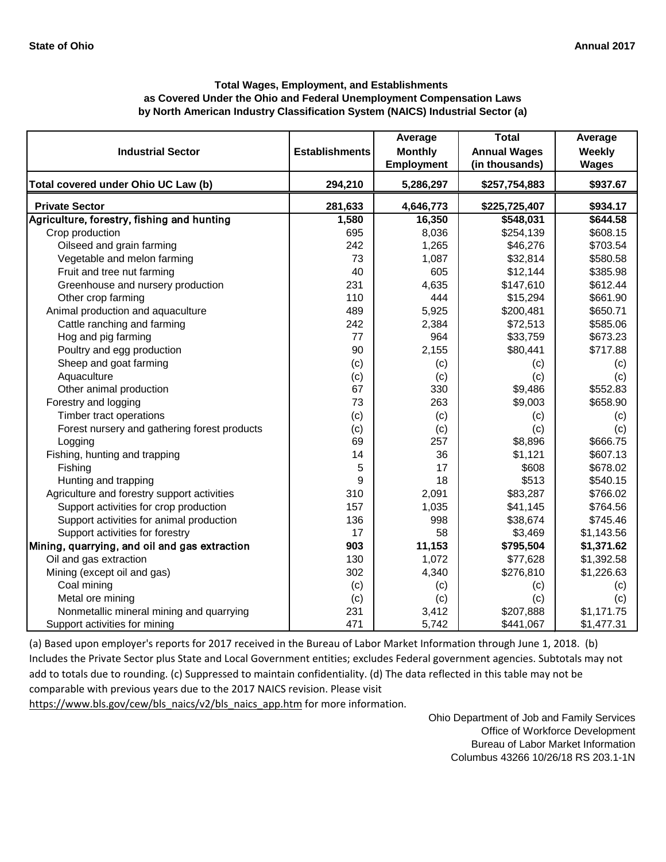|                                               |                       | Average           | <b>Total</b>        | Average      |
|-----------------------------------------------|-----------------------|-------------------|---------------------|--------------|
| <b>Industrial Sector</b>                      | <b>Establishments</b> | <b>Monthly</b>    | <b>Annual Wages</b> | Weekly       |
|                                               |                       | <b>Employment</b> | (in thousands)      | <b>Wages</b> |
| Total covered under Ohio UC Law (b)           | 294,210               | 5,286,297         | \$257,754,883       | \$937.67     |
| <b>Private Sector</b>                         | 281,633               | 4,646,773         | \$225,725,407       | \$934.17     |
| Agriculture, forestry, fishing and hunting    | 1,580                 | 16,350            | \$548,031           | \$644.58     |
| Crop production                               | 695                   | 8,036             | \$254,139           | \$608.15     |
| Oilseed and grain farming                     | 242                   | 1,265             | \$46,276            | \$703.54     |
| Vegetable and melon farming                   | 73                    | 1,087             | \$32,814            | \$580.58     |
| Fruit and tree nut farming                    | 40                    | 605               | \$12,144            | \$385.98     |
| Greenhouse and nursery production             | 231                   | 4,635             | \$147,610           | \$612.44     |
| Other crop farming                            | 110                   | 444               | \$15,294            | \$661.90     |
| Animal production and aquaculture             | 489                   | 5,925             | \$200,481           | \$650.71     |
| Cattle ranching and farming                   | 242                   | 2,384             | \$72,513            | \$585.06     |
| Hog and pig farming                           | 77                    | 964               | \$33,759            | \$673.23     |
| Poultry and egg production                    | 90                    | 2,155             | \$80,441            | \$717.88     |
| Sheep and goat farming                        | (c)                   | (c)               | (c)                 | (c)          |
| Aquaculture                                   | (c)                   | (c)               | (c)                 | (c)          |
| Other animal production                       | 67                    | 330               | \$9,486             | \$552.83     |
| Forestry and logging                          | 73                    | 263               | \$9,003             | \$658.90     |
| Timber tract operations                       | (c)                   | (c)               | (c)                 | (c)          |
| Forest nursery and gathering forest products  | (c)                   | (c)               | (c)                 | (c)          |
| Logging                                       | 69                    | 257               | \$8,896             | \$666.75     |
| Fishing, hunting and trapping                 | 14                    | 36                | \$1,121             | \$607.13     |
| Fishing                                       | 5                     | 17                | \$608               | \$678.02     |
| Hunting and trapping                          | 9                     | 18                | \$513               | \$540.15     |
| Agriculture and forestry support activities   | 310                   | 2,091             | \$83,287            | \$766.02     |
| Support activities for crop production        | 157                   | 1,035             | \$41,145            | \$764.56     |
| Support activities for animal production      | 136                   | 998               | \$38,674            | \$745.46     |
| Support activities for forestry               | 17                    | 58                | \$3,469             | \$1,143.56   |
| Mining, quarrying, and oil and gas extraction | 903                   | 11,153            | \$795,504           | \$1,371.62   |
| Oil and gas extraction                        | 130                   | 1,072             | \$77,628            | \$1,392.58   |
| Mining (except oil and gas)                   | 302                   | 4,340             | \$276,810           | \$1,226.63   |
| Coal mining                                   | (c)                   | (c)               | (c)                 | (c)          |
| Metal ore mining                              | (c)                   | (c)               | (c)                 | (c)          |
| Nonmetallic mineral mining and quarrying      | 231                   | 3,412             | \$207,888           | \$1,171.75   |
| Support activities for mining                 | 471                   | 5,742             | \$441,067           | \$1,477.31   |

[\(a\) Based upon employer's reports for 2017 received in t](https://www.bls.gov/cew/bls_naics/v2/bls_naics_app.htm)he Bureau of Labor Market Information through June 1, 2018. (b) [Includes the Private Sector plus State and Local Governm](https://www.bls.gov/cew/bls_naics/v2/bls_naics_app.htm)ent entities; excludes Federal government agencies. Subtotals may not [add to totals due to rounding. \(c\) Suppressed to maintain](https://www.bls.gov/cew/bls_naics/v2/bls_naics_app.htm) confidentiality. (d) The data reflected in this table may not be [comparable with previous years due to the 2017 NAICS r](https://www.bls.gov/cew/bls_naics/v2/bls_naics_app.htm)evision. Please visit [https://www.bls.gov/cew/bls\\_naics/v2/bls\\_naics\\_app.htm](https://www.bls.gov/cew/bls_naics/v2/bls_naics_app.htm) for more information.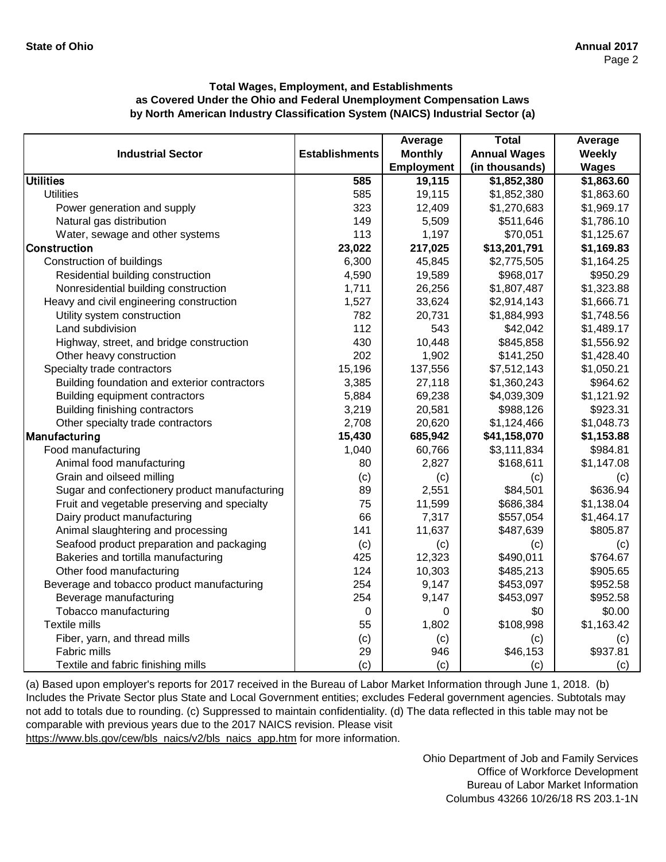|                                               |                       | Average           | <b>Total</b>        | Average      |
|-----------------------------------------------|-----------------------|-------------------|---------------------|--------------|
| <b>Industrial Sector</b>                      | <b>Establishments</b> | <b>Monthly</b>    | <b>Annual Wages</b> | Weekly       |
|                                               |                       | <b>Employment</b> | (in thousands)      | <b>Wages</b> |
| <b>Utilities</b>                              | 585                   | 19,115            | \$1,852,380         | \$1,863.60   |
| <b>Utilities</b>                              | 585                   | 19,115            | \$1,852,380         | \$1,863.60   |
| Power generation and supply                   | 323                   | 12,409            | \$1,270,683         | \$1,969.17   |
| Natural gas distribution                      | 149                   | 5,509             | \$511,646           | \$1,786.10   |
| Water, sewage and other systems               | 113                   | 1,197             | \$70,051            | \$1,125.67   |
| <b>Construction</b>                           | 23,022                | 217,025           | \$13,201,791        | \$1,169.83   |
| Construction of buildings                     | 6,300                 | 45,845            | \$2,775,505         | \$1,164.25   |
| Residential building construction             | 4,590                 | 19,589            | \$968,017           | \$950.29     |
| Nonresidential building construction          | 1,711                 | 26,256            | \$1,807,487         | \$1,323.88   |
| Heavy and civil engineering construction      | 1,527                 | 33,624            | \$2,914,143         | \$1,666.71   |
| Utility system construction                   | 782                   | 20,731            | \$1,884,993         | \$1,748.56   |
| Land subdivision                              | 112                   | 543               | \$42,042            | \$1,489.17   |
| Highway, street, and bridge construction      | 430                   | 10,448            | \$845,858           | \$1,556.92   |
| Other heavy construction                      | 202                   | 1,902             | \$141,250           | \$1,428.40   |
| Specialty trade contractors                   | 15,196                | 137,556           | \$7,512,143         | \$1,050.21   |
| Building foundation and exterior contractors  | 3,385                 | 27,118            | \$1,360,243         | \$964.62     |
| Building equipment contractors                | 5,884                 | 69,238            | \$4,039,309         | \$1,121.92   |
| Building finishing contractors                | 3,219                 | 20,581            | \$988,126           | \$923.31     |
| Other specialty trade contractors             | 2,708                 | 20,620            | \$1,124,466         | \$1,048.73   |
| Manufacturing                                 | 15,430                | 685,942           | \$41,158,070        | \$1,153.88   |
| Food manufacturing                            | 1,040                 | 60,766            | \$3,111,834         | \$984.81     |
| Animal food manufacturing                     | 80                    | 2,827             | \$168,611           | \$1,147.08   |
| Grain and oilseed milling                     | (c)                   | (c)               | (c)                 | (c)          |
| Sugar and confectionery product manufacturing | 89                    | 2,551             | \$84,501            | \$636.94     |
| Fruit and vegetable preserving and specialty  | 75                    | 11,599            | \$686,384           | \$1,138.04   |
| Dairy product manufacturing                   | 66                    | 7,317             | \$557,054           | \$1,464.17   |
| Animal slaughtering and processing            | 141                   | 11,637            | \$487,639           | \$805.87     |
| Seafood product preparation and packaging     | (c)                   | (c)               | (c)                 | (c)          |
| Bakeries and tortilla manufacturing           | 425                   | 12,323            | \$490,011           | \$764.67     |
| Other food manufacturing                      | 124                   | 10,303            | \$485,213           | \$905.65     |
| Beverage and tobacco product manufacturing    | 254                   | 9,147             | \$453,097           | \$952.58     |
| Beverage manufacturing                        | 254                   | 9,147             | \$453,097           | \$952.58     |
| Tobacco manufacturing                         | $\mathbf 0$           | 0                 | \$0                 | \$0.00       |
| <b>Textile mills</b>                          | 55                    | 1,802             | \$108,998           | \$1,163.42   |
| Fiber, yarn, and thread mills                 | (c)                   | (c)               | (c)                 | (c)          |
| Fabric mills                                  | 29                    | 946               | \$46,153            | \$937.81     |
| Textile and fabric finishing mills            | (c)                   | (c)               | (c)                 | (c)          |

[\(a\) Based upon employer's reports for 2017 received in t](https://www.bls.gov/cew/bls_naics/v2/bls_naics_app.htm)he Bureau of Labor Market Information through June 1, 2018. (b) [Includes the Private Sector plus State and Local Governm](https://www.bls.gov/cew/bls_naics/v2/bls_naics_app.htm)ent entities; excludes Federal government agencies. Subtotals may [not add to totals due to rounding. \(c\) Suppressed to main](https://www.bls.gov/cew/bls_naics/v2/bls_naics_app.htm)tain confidentiality. (d) The data reflected in this table may not be [comparable with previous years due to the 2017 NAICS](https://www.bls.gov/cew/bls_naics/v2/bls_naics_app.htm) revision. Please visit

[https://www.bls.gov/cew/bls\\_naics/v2/bls\\_naics\\_app.htm](https://www.bls.gov/cew/bls_naics/v2/bls_naics_app.htm) for more information.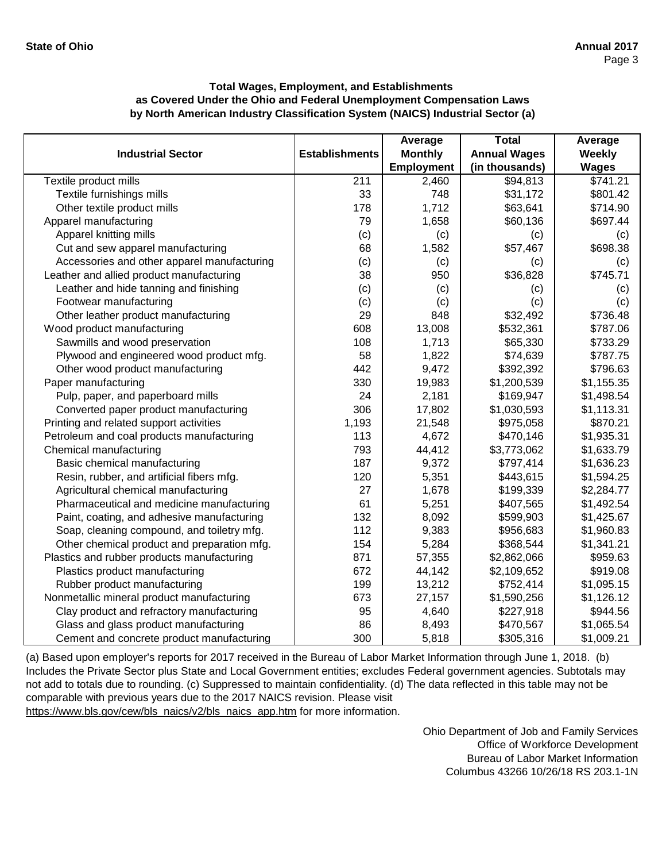|                                             |                       | Average           | <b>Total</b>        | Average       |
|---------------------------------------------|-----------------------|-------------------|---------------------|---------------|
| <b>Industrial Sector</b>                    | <b>Establishments</b> | <b>Monthly</b>    | <b>Annual Wages</b> | <b>Weekly</b> |
|                                             |                       | <b>Employment</b> | (in thousands)      | <b>Wages</b>  |
| Textile product mills                       | 211                   | 2,460             | \$94,813            | \$741.21      |
| Textile furnishings mills                   | 33                    | 748               | \$31,172            | \$801.42      |
| Other textile product mills                 | 178                   | 1,712             | \$63,641            | \$714.90      |
| Apparel manufacturing                       | 79                    | 1,658             | \$60,136            | \$697.44      |
| Apparel knitting mills                      | (c)                   | (c)               | (c)                 | (c)           |
| Cut and sew apparel manufacturing           | 68                    | 1,582             | \$57,467            | \$698.38      |
| Accessories and other apparel manufacturing | (c)                   | (c)               | (c)                 | (c)           |
| Leather and allied product manufacturing    | 38                    | 950               | \$36,828            | \$745.71      |
| Leather and hide tanning and finishing      | (c)                   | (c)               | (c)                 | (c)           |
| Footwear manufacturing                      | (c)                   | (c)               | (c)                 | (c)           |
| Other leather product manufacturing         | 29                    | 848               | \$32,492            | \$736.48      |
| Wood product manufacturing                  | 608                   | 13,008            | \$532,361           | \$787.06      |
| Sawmills and wood preservation              | 108                   | 1,713             | \$65,330            | \$733.29      |
| Plywood and engineered wood product mfg.    | 58                    | 1,822             | \$74,639            | \$787.75      |
| Other wood product manufacturing            | 442                   | 9,472             | \$392,392           | \$796.63      |
| Paper manufacturing                         | 330                   | 19,983            | \$1,200,539         | \$1,155.35    |
| Pulp, paper, and paperboard mills           | 24                    | 2,181             | \$169,947           | \$1,498.54    |
| Converted paper product manufacturing       | 306                   | 17,802            | \$1,030,593         | \$1,113.31    |
| Printing and related support activities     | 1,193                 | 21,548            | \$975,058           | \$870.21      |
| Petroleum and coal products manufacturing   | 113                   | 4,672             | \$470,146           | \$1,935.31    |
| Chemical manufacturing                      | 793                   | 44,412            | \$3,773,062         | \$1,633.79    |
| Basic chemical manufacturing                | 187                   | 9,372             | \$797,414           | \$1,636.23    |
| Resin, rubber, and artificial fibers mfg.   | 120                   | 5,351             | \$443,615           | \$1,594.25    |
| Agricultural chemical manufacturing         | 27                    | 1,678             | \$199,339           | \$2,284.77    |
| Pharmaceutical and medicine manufacturing   | 61                    | 5,251             | \$407,565           | \$1,492.54    |
| Paint, coating, and adhesive manufacturing  | 132                   | 8,092             | \$599,903           | \$1,425.67    |
| Soap, cleaning compound, and toiletry mfg.  | 112                   | 9,383             | \$956,683           | \$1,960.83    |
| Other chemical product and preparation mfg. | 154                   | 5,284             | \$368,544           | \$1,341.21    |
| Plastics and rubber products manufacturing  | 871                   | 57,355            | \$2,862,066         | \$959.63      |
| Plastics product manufacturing              | 672                   | 44,142            | \$2,109,652         | \$919.08      |
| Rubber product manufacturing                | 199                   | 13,212            | \$752,414           | \$1,095.15    |
| Nonmetallic mineral product manufacturing   | 673                   | 27,157            | \$1,590,256         | \$1,126.12    |
| Clay product and refractory manufacturing   | 95                    | 4,640             | \$227,918           | \$944.56      |
| Glass and glass product manufacturing       | 86                    | 8,493             | \$470,567           | \$1,065.54    |
| Cement and concrete product manufacturing   | 300                   | 5,818             | \$305,316           | \$1,009.21    |

[\(a\) Based upon employer's reports for 2017 received in t](https://www.bls.gov/cew/bls_naics/v2/bls_naics_app.htm)he Bureau of Labor Market Information through June 1, 2018. (b) [Includes the Private Sector plus State and Local Governm](https://www.bls.gov/cew/bls_naics/v2/bls_naics_app.htm)ent entities; excludes Federal government agencies. Subtotals may [not add to totals due to rounding. \(c\) Suppressed to main](https://www.bls.gov/cew/bls_naics/v2/bls_naics_app.htm)tain confidentiality. (d) The data reflected in this table may not be [comparable with previous years due to the 2017 NAICS](https://www.bls.gov/cew/bls_naics/v2/bls_naics_app.htm) revision. Please visit

[https://www.bls.gov/cew/bls\\_naics/v2/bls\\_naics\\_app.htm](https://www.bls.gov/cew/bls_naics/v2/bls_naics_app.htm) for more information.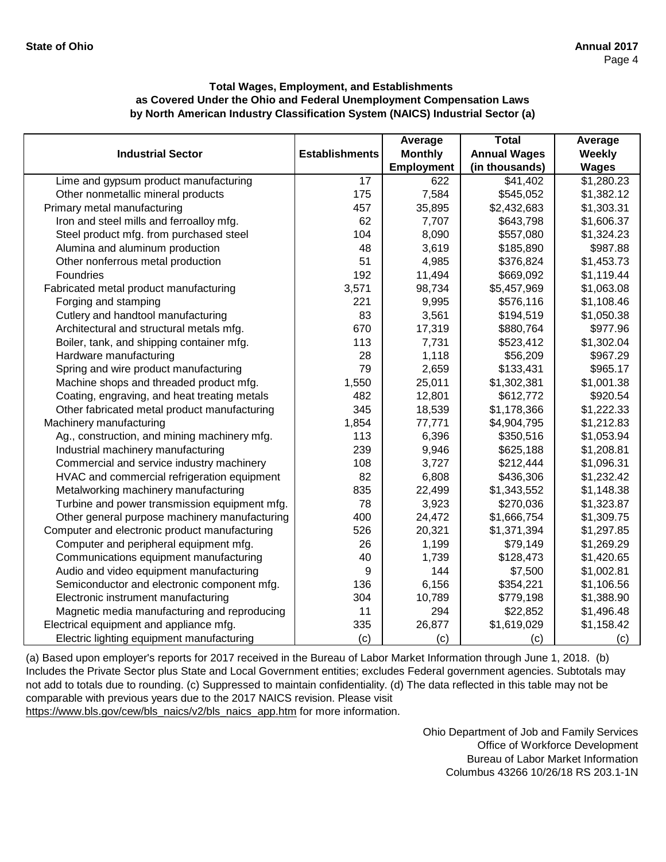|                                               |                       | Average           | <b>Total</b>        | Average       |
|-----------------------------------------------|-----------------------|-------------------|---------------------|---------------|
| <b>Industrial Sector</b>                      | <b>Establishments</b> | <b>Monthly</b>    | <b>Annual Wages</b> | <b>Weekly</b> |
|                                               |                       | <b>Employment</b> | (in thousands)      | <b>Wages</b>  |
| Lime and gypsum product manufacturing         | $\overline{17}$       | 622               | \$41,402            | \$1,280.23    |
| Other nonmetallic mineral products            | 175                   | 7,584             | \$545,052           | \$1,382.12    |
| Primary metal manufacturing                   | 457                   | 35,895            | \$2,432,683         | \$1,303.31    |
| Iron and steel mills and ferroalloy mfg.      | 62                    | 7,707             | \$643,798           | \$1,606.37    |
| Steel product mfg. from purchased steel       | 104                   | 8,090             | \$557,080           | \$1,324.23    |
| Alumina and aluminum production               | 48                    | 3,619             | \$185,890           | \$987.88      |
| Other nonferrous metal production             | 51                    | 4,985             | \$376,824           | \$1,453.73    |
| Foundries                                     | 192                   | 11,494            | \$669,092           | \$1,119.44    |
| Fabricated metal product manufacturing        | 3,571                 | 98,734            | \$5,457,969         | \$1,063.08    |
| Forging and stamping                          | 221                   | 9,995             | \$576,116           | \$1,108.46    |
| Cutlery and handtool manufacturing            | 83                    | 3,561             | \$194,519           | \$1,050.38    |
| Architectural and structural metals mfg.      | 670                   | 17,319            | \$880,764           | \$977.96      |
| Boiler, tank, and shipping container mfg.     | 113                   | 7,731             | \$523,412           | \$1,302.04    |
| Hardware manufacturing                        | 28                    | 1,118             | \$56,209            | \$967.29      |
| Spring and wire product manufacturing         | 79                    | 2,659             | \$133,431           | \$965.17      |
| Machine shops and threaded product mfg.       | 1,550                 | 25,011            | \$1,302,381         | \$1,001.38    |
| Coating, engraving, and heat treating metals  | 482                   | 12,801            | \$612,772           | \$920.54      |
| Other fabricated metal product manufacturing  | 345                   | 18,539            | \$1,178,366         | \$1,222.33    |
| Machinery manufacturing                       | 1,854                 | 77,771            | \$4,904,795         | \$1,212.83    |
| Ag., construction, and mining machinery mfg.  | 113                   | 6,396             | \$350,516           | \$1,053.94    |
| Industrial machinery manufacturing            | 239                   | 9,946             | \$625,188           | \$1,208.81    |
| Commercial and service industry machinery     | 108                   | 3,727             | \$212,444           | \$1,096.31    |
| HVAC and commercial refrigeration equipment   | 82                    | 6,808             | \$436,306           | \$1,232.42    |
| Metalworking machinery manufacturing          | 835                   | 22,499            | \$1,343,552         | \$1,148.38    |
| Turbine and power transmission equipment mfg. | 78                    | 3,923             | \$270,036           | \$1,323.87    |
| Other general purpose machinery manufacturing | 400                   | 24,472            | \$1,666,754         | \$1,309.75    |
| Computer and electronic product manufacturing | 526                   | 20,321            | \$1,371,394         | \$1,297.85    |
| Computer and peripheral equipment mfg.        | 26                    | 1,199             | \$79,149            | \$1,269.29    |
| Communications equipment manufacturing        | 40                    | 1,739             | \$128,473           | \$1,420.65    |
| Audio and video equipment manufacturing       | 9                     | 144               | \$7,500             | \$1,002.81    |
| Semiconductor and electronic component mfg.   | 136                   | 6,156             | \$354,221           | \$1,106.56    |
| Electronic instrument manufacturing           | 304                   | 10,789            | \$779,198           | \$1,388.90    |
| Magnetic media manufacturing and reproducing  | 11                    | 294               | \$22,852            | \$1,496.48    |
| Electrical equipment and appliance mfg.       | 335                   | 26,877            | \$1,619,029         | \$1,158.42    |
| Electric lighting equipment manufacturing     | (c)                   | (c)               | (c)                 | (c)           |

[\(a\) Based upon employer's reports for 2017 received in t](https://www.bls.gov/cew/bls_naics/v2/bls_naics_app.htm)he Bureau of Labor Market Information through June 1, 2018. (b) [Includes the Private Sector plus State and Local Governm](https://www.bls.gov/cew/bls_naics/v2/bls_naics_app.htm)ent entities; excludes Federal government agencies. Subtotals may [not add to totals due to rounding. \(c\) Suppressed to main](https://www.bls.gov/cew/bls_naics/v2/bls_naics_app.htm)tain confidentiality. (d) The data reflected in this table may not be [comparable with previous years due to the 2017 NAICS](https://www.bls.gov/cew/bls_naics/v2/bls_naics_app.htm) revision. Please visit

[https://www.bls.gov/cew/bls\\_naics/v2/bls\\_naics\\_app.htm](https://www.bls.gov/cew/bls_naics/v2/bls_naics_app.htm) for more information.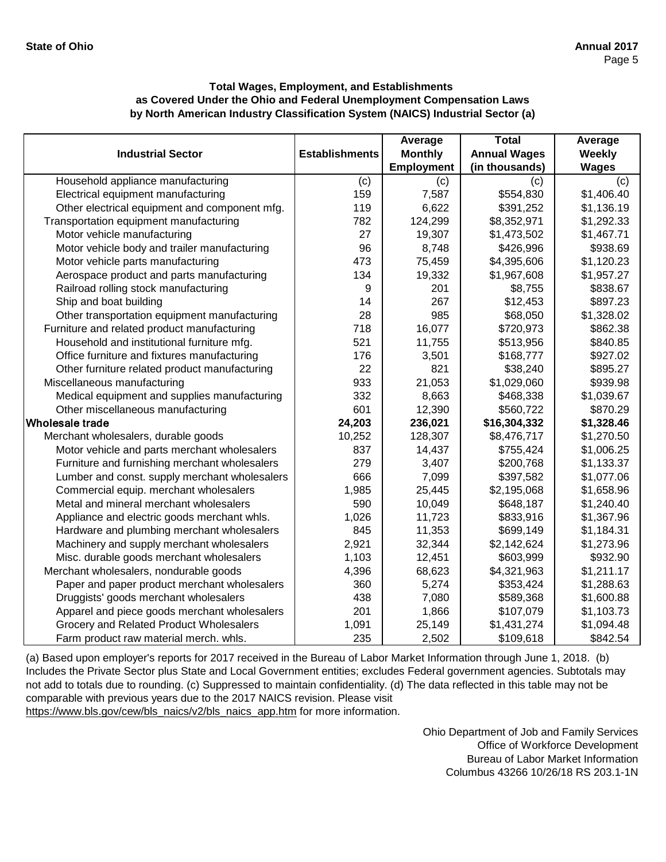|                                               |                       | Average        | <b>Total</b>        | Average      |
|-----------------------------------------------|-----------------------|----------------|---------------------|--------------|
| <b>Industrial Sector</b>                      | <b>Establishments</b> | <b>Monthly</b> | <b>Annual Wages</b> | Weekly       |
|                                               |                       | Employment     | (in thousands)      | <b>Wages</b> |
| Household appliance manufacturing             | (c)                   | (c)            | (c)                 | (c)          |
| Electrical equipment manufacturing            | 159                   | 7,587          | \$554,830           | \$1,406.40   |
| Other electrical equipment and component mfg. | 119                   | 6,622          | \$391,252           | \$1,136.19   |
| Transportation equipment manufacturing        | 782                   | 124,299        | \$8,352,971         | \$1,292.33   |
| Motor vehicle manufacturing                   | 27                    | 19,307         | \$1,473,502         | \$1,467.71   |
| Motor vehicle body and trailer manufacturing  | 96                    | 8,748          | \$426,996           | \$938.69     |
| Motor vehicle parts manufacturing             | 473                   | 75,459         | \$4,395,606         | \$1,120.23   |
| Aerospace product and parts manufacturing     | 134                   | 19,332         | \$1,967,608         | \$1,957.27   |
| Railroad rolling stock manufacturing          | 9                     | 201            | \$8,755             | \$838.67     |
| Ship and boat building                        | 14                    | 267            | \$12,453            | \$897.23     |
| Other transportation equipment manufacturing  | 28                    | 985            | \$68,050            | \$1,328.02   |
| Furniture and related product manufacturing   | 718                   | 16,077         | \$720,973           | \$862.38     |
| Household and institutional furniture mfg.    | 521                   | 11,755         | \$513,956           | \$840.85     |
| Office furniture and fixtures manufacturing   | 176                   | 3,501          | \$168,777           | \$927.02     |
| Other furniture related product manufacturing | 22                    | 821            | \$38,240            | \$895.27     |
| Miscellaneous manufacturing                   | 933                   | 21,053         | \$1,029,060         | \$939.98     |
| Medical equipment and supplies manufacturing  | 332                   | 8,663          | \$468,338           | \$1,039.67   |
| Other miscellaneous manufacturing             | 601                   | 12,390         | \$560,722           | \$870.29     |
| Wholesale trade                               | 24,203                | 236,021        | \$16,304,332        | \$1,328.46   |
| Merchant wholesalers, durable goods           | 10,252                | 128,307        | \$8,476,717         | \$1,270.50   |
| Motor vehicle and parts merchant wholesalers  | 837                   | 14,437         | \$755,424           | \$1,006.25   |
| Furniture and furnishing merchant wholesalers | 279                   | 3,407          | \$200,768           | \$1,133.37   |
| Lumber and const. supply merchant wholesalers | 666                   | 7,099          | \$397,582           | \$1,077.06   |
| Commercial equip. merchant wholesalers        | 1,985                 | 25,445         | \$2,195,068         | \$1,658.96   |
| Metal and mineral merchant wholesalers        | 590                   | 10,049         | \$648,187           | \$1,240.40   |
| Appliance and electric goods merchant whls.   | 1,026                 | 11,723         | \$833,916           | \$1,367.96   |
| Hardware and plumbing merchant wholesalers    | 845                   | 11,353         | \$699,149           | \$1,184.31   |
| Machinery and supply merchant wholesalers     | 2,921                 | 32,344         | \$2,142,624         | \$1,273.96   |
| Misc. durable goods merchant wholesalers      | 1,103                 | 12,451         | \$603,999           | \$932.90     |
| Merchant wholesalers, nondurable goods        | 4,396                 | 68,623         | \$4,321,963         | \$1,211.17   |
| Paper and paper product merchant wholesalers  | 360                   | 5,274          | \$353,424           | \$1,288.63   |
| Druggists' goods merchant wholesalers         | 438                   | 7,080          | \$589,368           | \$1,600.88   |
| Apparel and piece goods merchant wholesalers  | 201                   | 1,866          | \$107,079           | \$1,103.73   |
| Grocery and Related Product Wholesalers       | 1,091                 | 25,149         | \$1,431,274         | \$1,094.48   |
| Farm product raw material merch. whls.        | 235                   | 2,502          | \$109,618           | \$842.54     |

[\(a\) Based upon employer's reports for 2017 received in t](https://www.bls.gov/cew/bls_naics/v2/bls_naics_app.htm)he Bureau of Labor Market Information through June 1, 2018. (b) [Includes the Private Sector plus State and Local Governm](https://www.bls.gov/cew/bls_naics/v2/bls_naics_app.htm)ent entities; excludes Federal government agencies. Subtotals may [not add to totals due to rounding. \(c\) Suppressed to main](https://www.bls.gov/cew/bls_naics/v2/bls_naics_app.htm)tain confidentiality. (d) The data reflected in this table may not be [comparable with previous years due to the 2017 NAICS](https://www.bls.gov/cew/bls_naics/v2/bls_naics_app.htm) revision. Please visit

[https://www.bls.gov/cew/bls\\_naics/v2/bls\\_naics\\_app.htm](https://www.bls.gov/cew/bls_naics/v2/bls_naics_app.htm) for more information.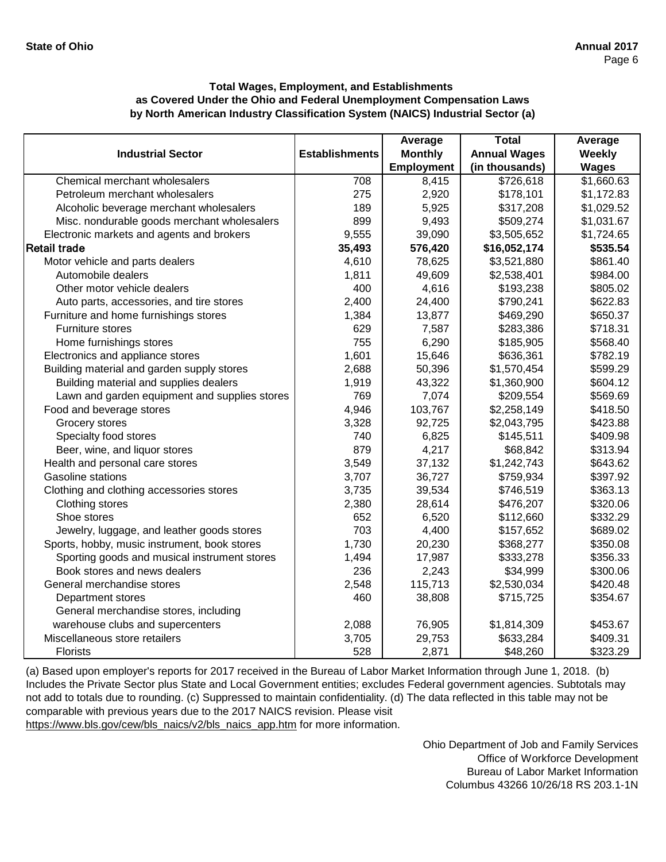|                                               |                       | Average           | <b>Total</b>        | Average       |
|-----------------------------------------------|-----------------------|-------------------|---------------------|---------------|
| <b>Industrial Sector</b>                      | <b>Establishments</b> | <b>Monthly</b>    | <b>Annual Wages</b> | <b>Weekly</b> |
|                                               |                       | <b>Employment</b> | (in thousands)      | <b>Wages</b>  |
| Chemical merchant wholesalers                 | 708                   | 8,415             | \$726,618           | \$1,660.63    |
| Petroleum merchant wholesalers                | 275                   | 2,920             | \$178,101           | \$1,172.83    |
| Alcoholic beverage merchant wholesalers       | 189                   | 5,925             | \$317,208           | \$1,029.52    |
| Misc. nondurable goods merchant wholesalers   | 899                   | 9,493             | \$509,274           | \$1,031.67    |
| Electronic markets and agents and brokers     | 9,555                 | 39,090            | \$3,505,652         | \$1,724.65    |
| <b>Retail trade</b>                           | 35,493                | 576,420           | \$16,052,174        | \$535.54      |
| Motor vehicle and parts dealers               | 4,610                 | 78,625            | \$3,521,880         | \$861.40      |
| Automobile dealers                            | 1,811                 | 49,609            | \$2,538,401         | \$984.00      |
| Other motor vehicle dealers                   | 400                   | 4,616             | \$193,238           | \$805.02      |
| Auto parts, accessories, and tire stores      | 2,400                 | 24,400            | \$790,241           | \$622.83      |
| Furniture and home furnishings stores         | 1,384                 | 13,877            | \$469,290           | \$650.37      |
| Furniture stores                              | 629                   | 7,587             | \$283,386           | \$718.31      |
| Home furnishings stores                       | 755                   | 6,290             | \$185,905           | \$568.40      |
| Electronics and appliance stores              | 1,601                 | 15,646            | \$636,361           | \$782.19      |
| Building material and garden supply stores    | 2,688                 | 50,396            | \$1,570,454         | \$599.29      |
| Building material and supplies dealers        | 1,919                 | 43,322            | \$1,360,900         | \$604.12      |
| Lawn and garden equipment and supplies stores | 769                   | 7,074             | \$209,554           | \$569.69      |
| Food and beverage stores                      | 4,946                 | 103,767           | \$2,258,149         | \$418.50      |
| Grocery stores                                | 3,328                 | 92,725            | \$2,043,795         | \$423.88      |
| Specialty food stores                         | 740                   | 6,825             | \$145,511           | \$409.98      |
| Beer, wine, and liquor stores                 | 879                   | 4,217             | \$68,842            | \$313.94      |
| Health and personal care stores               | 3,549                 | 37,132            | \$1,242,743         | \$643.62      |
| Gasoline stations                             | 3,707                 | 36,727            | \$759,934           | \$397.92      |
| Clothing and clothing accessories stores      | 3,735                 | 39,534            | \$746,519           | \$363.13      |
| Clothing stores                               | 2,380                 | 28,614            | \$476,207           | \$320.06      |
| Shoe stores                                   | 652                   | 6,520             | \$112,660           | \$332.29      |
| Jewelry, luggage, and leather goods stores    | 703                   | 4,400             | \$157,652           | \$689.02      |
| Sports, hobby, music instrument, book stores  | 1,730                 | 20,230            | \$368,277           | \$350.08      |
| Sporting goods and musical instrument stores  | 1,494                 | 17,987            | \$333,278           | \$356.33      |
| Book stores and news dealers                  | 236                   | 2,243             | \$34,999            | \$300.06      |
| General merchandise stores                    | 2,548                 | 115,713           | \$2,530,034         | \$420.48      |
| Department stores                             | 460                   | 38,808            | \$715,725           | \$354.67      |
| General merchandise stores, including         |                       |                   |                     |               |
| warehouse clubs and supercenters              | 2,088                 | 76,905            | \$1,814,309         | \$453.67      |
| Miscellaneous store retailers                 | 3,705                 | 29,753            | \$633,284           | \$409.31      |
| <b>Florists</b>                               | 528                   | 2,871             | \$48,260            | \$323.29      |

[\(a\) Based upon employer's reports for 2017 received in t](https://www.bls.gov/cew/bls_naics/v2/bls_naics_app.htm)he Bureau of Labor Market Information through June 1, 2018. (b) [Includes the Private Sector plus State and Local Governm](https://www.bls.gov/cew/bls_naics/v2/bls_naics_app.htm)ent entities; excludes Federal government agencies. Subtotals may [not add to totals due to rounding. \(c\) Suppressed to main](https://www.bls.gov/cew/bls_naics/v2/bls_naics_app.htm)tain confidentiality. (d) The data reflected in this table may not be [comparable with previous years due to the 2017 NAICS](https://www.bls.gov/cew/bls_naics/v2/bls_naics_app.htm) revision. Please visit [https://www.bls.gov/cew/bls\\_naics/v2/bls\\_naics\\_app.htm](https://www.bls.gov/cew/bls_naics/v2/bls_naics_app.htm) for more information.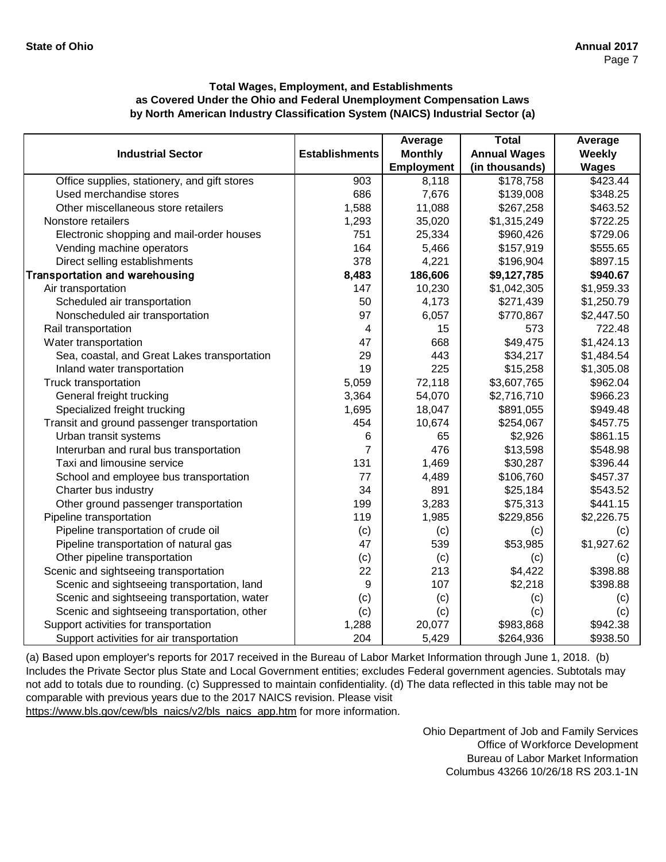|                                              |                       | Average           | <b>Total</b>        | Average       |
|----------------------------------------------|-----------------------|-------------------|---------------------|---------------|
| <b>Industrial Sector</b>                     | <b>Establishments</b> | <b>Monthly</b>    | <b>Annual Wages</b> | <b>Weekly</b> |
|                                              |                       | <b>Employment</b> | (in thousands)      | <b>Wages</b>  |
| Office supplies, stationery, and gift stores | 903                   | 8,118             | \$178,758           | \$423.44      |
| Used merchandise stores                      | 686                   | 7,676             | \$139,008           | \$348.25      |
| Other miscellaneous store retailers          | 1,588                 | 11,088            | \$267,258           | \$463.52      |
| Nonstore retailers                           | 1,293                 | 35,020            | \$1,315,249         | \$722.25      |
| Electronic shopping and mail-order houses    | 751                   | 25,334            | \$960,426           | \$729.06      |
| Vending machine operators                    | 164                   | 5,466             | \$157,919           | \$555.65      |
| Direct selling establishments                | 378                   | 4,221             | \$196,904           | \$897.15      |
| <b>Transportation and warehousing</b>        | 8,483                 | 186,606           | \$9,127,785         | \$940.67      |
| Air transportation                           | 147                   | 10,230            | \$1,042,305         | \$1,959.33    |
| Scheduled air transportation                 | 50                    | 4,173             | \$271,439           | \$1,250.79    |
| Nonscheduled air transportation              | 97                    | 6,057             | \$770,867           | \$2,447.50    |
| Rail transportation                          | 4                     | 15                | 573                 | 722.48        |
| Water transportation                         | 47                    | 668               | \$49,475            | \$1,424.13    |
| Sea, coastal, and Great Lakes transportation | 29                    | 443               | \$34,217            | \$1,484.54    |
| Inland water transportation                  | 19                    | 225               | \$15,258            | \$1,305.08    |
| Truck transportation                         | 5,059                 | 72,118            | \$3,607,765         | \$962.04      |
| General freight trucking                     | 3,364                 | 54,070            | \$2,716,710         | \$966.23      |
| Specialized freight trucking                 | 1,695                 | 18,047            | \$891,055           | \$949.48      |
| Transit and ground passenger transportation  | 454                   | 10,674            | \$254,067           | \$457.75      |
| Urban transit systems                        | 6                     | 65                | \$2,926             | \$861.15      |
| Interurban and rural bus transportation      | 7                     | 476               | \$13,598            | \$548.98      |
| Taxi and limousine service                   | 131                   | 1,469             | \$30,287            | \$396.44      |
| School and employee bus transportation       | 77                    | 4,489             | \$106,760           | \$457.37      |
| Charter bus industry                         | 34                    | 891               | \$25,184            | \$543.52      |
| Other ground passenger transportation        | 199                   | 3,283             | \$75,313            | \$441.15      |
| Pipeline transportation                      | 119                   | 1,985             | \$229,856           | \$2,226.75    |
| Pipeline transportation of crude oil         | (c)                   | (c)               | (c)                 | (c)           |
| Pipeline transportation of natural gas       | 47                    | 539               | \$53,985            | \$1,927.62    |
| Other pipeline transportation                | (c)                   | (c)               | (c)                 | (c)           |
| Scenic and sightseeing transportation        | 22                    | 213               | \$4,422             | \$398.88      |
| Scenic and sightseeing transportation, land  | 9                     | 107               | \$2,218             | \$398.88      |
| Scenic and sightseeing transportation, water | (c)                   | (c)               | (c)                 | (c)           |
| Scenic and sightseeing transportation, other | (c)                   | (c)               | (c)                 | (c)           |
| Support activities for transportation        | 1,288                 | 20,077            | \$983,868           | \$942.38      |
| Support activities for air transportation    | 204                   | 5,429             | \$264,936           | \$938.50      |

[\(a\) Based upon employer's reports for 2017 received in t](https://www.bls.gov/cew/bls_naics/v2/bls_naics_app.htm)he Bureau of Labor Market Information through June 1, 2018. (b) [Includes the Private Sector plus State and Local Governm](https://www.bls.gov/cew/bls_naics/v2/bls_naics_app.htm)ent entities; excludes Federal government agencies. Subtotals may [not add to totals due to rounding. \(c\) Suppressed to main](https://www.bls.gov/cew/bls_naics/v2/bls_naics_app.htm)tain confidentiality. (d) The data reflected in this table may not be [comparable with previous years due to the 2017 NAICS](https://www.bls.gov/cew/bls_naics/v2/bls_naics_app.htm) revision. Please visit

[https://www.bls.gov/cew/bls\\_naics/v2/bls\\_naics\\_app.htm](https://www.bls.gov/cew/bls_naics/v2/bls_naics_app.htm) for more information.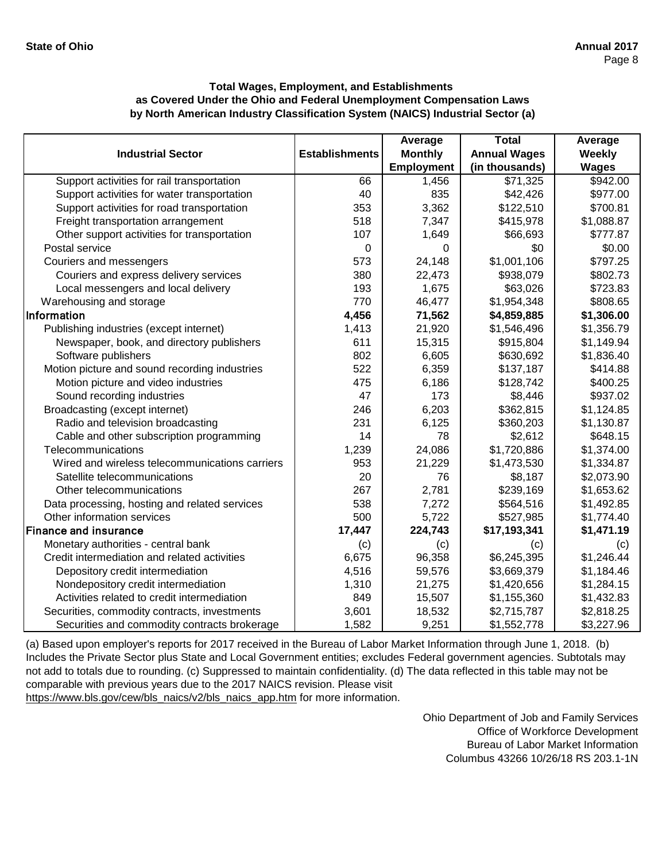|                                                |                       | Average           | <b>Total</b>        | Average      |
|------------------------------------------------|-----------------------|-------------------|---------------------|--------------|
| <b>Industrial Sector</b>                       | <b>Establishments</b> | <b>Monthly</b>    | <b>Annual Wages</b> | Weekly       |
|                                                |                       | <b>Employment</b> | (in thousands)      | <b>Wages</b> |
| Support activities for rail transportation     | 66                    | 1,456             | \$71,325            | \$942.00     |
| Support activities for water transportation    | 40                    | 835               | \$42,426            | \$977.00     |
| Support activities for road transportation     | 353                   | 3,362             | \$122,510           | \$700.81     |
| Freight transportation arrangement             | 518                   | 7,347             | \$415,978           | \$1,088.87   |
| Other support activities for transportation    | 107                   | 1,649             | \$66,693            | \$777.87     |
| Postal service                                 | 0                     | 0                 | \$0                 | \$0.00       |
| Couriers and messengers                        | 573                   | 24,148            | \$1,001,106         | \$797.25     |
| Couriers and express delivery services         | 380                   | 22,473            | \$938,079           | \$802.73     |
| Local messengers and local delivery            | 193                   | 1,675             | \$63,026            | \$723.83     |
| Warehousing and storage                        | 770                   | 46,477            | \$1,954,348         | \$808.65     |
| Information                                    | 4,456                 | 71,562            | \$4,859,885         | \$1,306.00   |
| Publishing industries (except internet)        | 1,413                 | 21,920            | \$1,546,496         | \$1,356.79   |
| Newspaper, book, and directory publishers      | 611                   | 15,315            | \$915,804           | \$1,149.94   |
| Software publishers                            | 802                   | 6,605             | \$630,692           | \$1,836.40   |
| Motion picture and sound recording industries  | 522                   | 6,359             | \$137,187           | \$414.88     |
| Motion picture and video industries            | 475                   | 6,186             | \$128,742           | \$400.25     |
| Sound recording industries                     | 47                    | 173               | \$8,446             | \$937.02     |
| Broadcasting (except internet)                 | 246                   | 6,203             | \$362,815           | \$1,124.85   |
| Radio and television broadcasting              | 231                   | 6,125             | \$360,203           | \$1,130.87   |
| Cable and other subscription programming       | 14                    | 78                | \$2,612             | \$648.15     |
| Telecommunications                             | 1,239                 | 24,086            | \$1,720,886         | \$1,374.00   |
| Wired and wireless telecommunications carriers | 953                   | 21,229            | \$1,473,530         | \$1,334.87   |
| Satellite telecommunications                   | 20                    | 76                | \$8,187             | \$2,073.90   |
| Other telecommunications                       | 267                   | 2,781             | \$239,169           | \$1,653.62   |
| Data processing, hosting and related services  | 538                   | 7,272             | \$564,516           | \$1,492.85   |
| Other information services                     | 500                   | 5,722             | \$527,985           | \$1,774.40   |
| <b>Finance and insurance</b>                   | 17,447                | 224,743           | \$17,193,341        | \$1,471.19   |
| Monetary authorities - central bank            | (c)                   | (c)               | (c)                 | (c)          |
| Credit intermediation and related activities   | 6,675                 | 96,358            | \$6,245,395         | \$1,246.44   |
| Depository credit intermediation               | 4,516                 | 59,576            | \$3,669,379         | \$1,184.46   |
| Nondepository credit intermediation            | 1,310                 | 21,275            | \$1,420,656         | \$1,284.15   |
| Activities related to credit intermediation    | 849                   | 15,507            | \$1,155,360         | \$1,432.83   |
| Securities, commodity contracts, investments   | 3,601                 | 18,532            | \$2,715,787         | \$2,818.25   |
| Securities and commodity contracts brokerage   | 1,582                 | 9,251             | \$1,552,778         | \$3,227.96   |

[\(a\) Based upon employer's reports for 2017 received in t](https://www.bls.gov/cew/bls_naics/v2/bls_naics_app.htm)he Bureau of Labor Market Information through June 1, 2018. (b) [Includes the Private Sector plus State and Local Governm](https://www.bls.gov/cew/bls_naics/v2/bls_naics_app.htm)ent entities; excludes Federal government agencies. Subtotals may [not add to totals due to rounding. \(c\) Suppressed to main](https://www.bls.gov/cew/bls_naics/v2/bls_naics_app.htm)tain confidentiality. (d) The data reflected in this table may not be [comparable with previous years due to the 2017 NAICS](https://www.bls.gov/cew/bls_naics/v2/bls_naics_app.htm) revision. Please visit [https://www.bls.gov/cew/bls\\_naics/v2/bls\\_naics\\_app.htm](https://www.bls.gov/cew/bls_naics/v2/bls_naics_app.htm) for more information.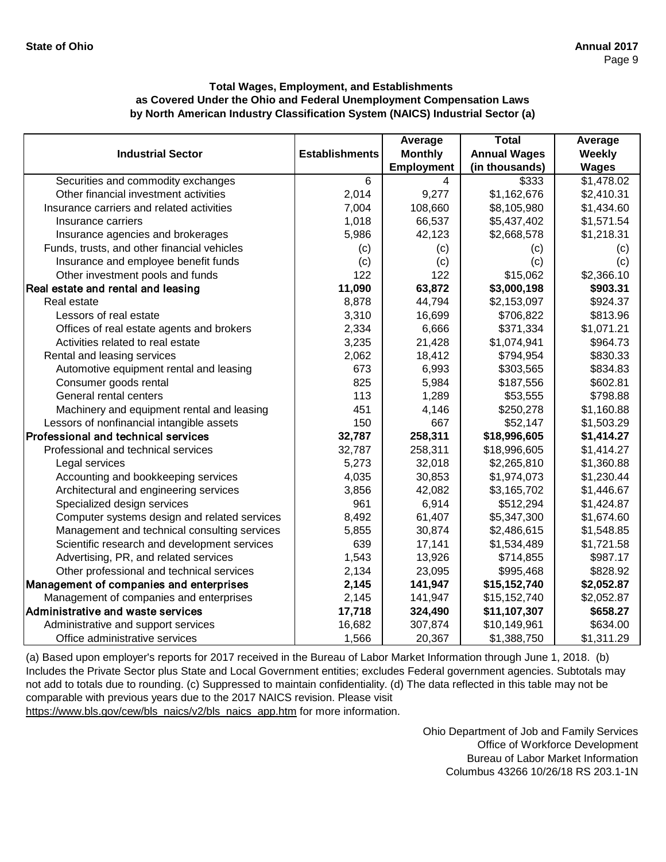|                                              |                       | Average           | <b>Total</b>        | Average      |
|----------------------------------------------|-----------------------|-------------------|---------------------|--------------|
| <b>Industrial Sector</b>                     | <b>Establishments</b> | <b>Monthly</b>    | <b>Annual Wages</b> | Weekly       |
|                                              |                       | <b>Employment</b> | (in thousands)      | <b>Wages</b> |
| Securities and commodity exchanges           | 6                     | 4                 | \$333               | \$1,478.02   |
| Other financial investment activities        | 2,014                 | 9,277             | \$1,162,676         | \$2,410.31   |
| Insurance carriers and related activities    | 7,004                 | 108,660           | \$8,105,980         | \$1,434.60   |
| Insurance carriers                           | 1,018                 | 66,537            | \$5,437,402         | \$1,571.54   |
| Insurance agencies and brokerages            | 5,986                 | 42,123            | \$2,668,578         | \$1,218.31   |
| Funds, trusts, and other financial vehicles  | (c)                   | (c)               | (c)                 | (c)          |
| Insurance and employee benefit funds         | (c)                   | (c)               | (c)                 | (c)          |
| Other investment pools and funds             | 122                   | 122               | \$15,062            | \$2,366.10   |
| Real estate and rental and leasing           | 11,090                | 63,872            | \$3,000,198         | \$903.31     |
| Real estate                                  | 8,878                 | 44,794            | \$2,153,097         | \$924.37     |
| Lessors of real estate                       | 3,310                 | 16,699            | \$706,822           | \$813.96     |
| Offices of real estate agents and brokers    | 2,334                 | 6,666             | \$371,334           | \$1,071.21   |
| Activities related to real estate            | 3,235                 | 21,428            | \$1,074,941         | \$964.73     |
| Rental and leasing services                  | 2,062                 | 18,412            | \$794,954           | \$830.33     |
| Automotive equipment rental and leasing      | 673                   | 6,993             | \$303,565           | \$834.83     |
| Consumer goods rental                        | 825                   | 5,984             | \$187,556           | \$602.81     |
| General rental centers                       | 113                   | 1,289             | \$53,555            | \$798.88     |
| Machinery and equipment rental and leasing   | 451                   | 4,146             | \$250,278           | \$1,160.88   |
| Lessors of nonfinancial intangible assets    | 150                   | 667               | \$52,147            | \$1,503.29   |
| Professional and technical services          | 32,787                | 258,311           | \$18,996,605        | \$1,414.27   |
| Professional and technical services          | 32,787                | 258,311           | \$18,996,605        | \$1,414.27   |
| Legal services                               | 5,273                 | 32,018            | \$2,265,810         | \$1,360.88   |
| Accounting and bookkeeping services          | 4,035                 | 30,853            | \$1,974,073         | \$1,230.44   |
| Architectural and engineering services       | 3,856                 | 42,082            | \$3,165,702         | \$1,446.67   |
| Specialized design services                  | 961                   | 6,914             | \$512,294           | \$1,424.87   |
| Computer systems design and related services | 8,492                 | 61,407            | \$5,347,300         | \$1,674.60   |
| Management and technical consulting services | 5,855                 | 30,874            | \$2,486,615         | \$1,548.85   |
| Scientific research and development services | 639                   | 17,141            | \$1,534,489         | \$1,721.58   |
| Advertising, PR, and related services        | 1,543                 | 13,926            | \$714,855           | \$987.17     |
| Other professional and technical services    | 2,134                 | 23,095            | \$995,468           | \$828.92     |
| Management of companies and enterprises      | 2,145                 | 141,947           | \$15,152,740        | \$2,052.87   |
| Management of companies and enterprises      | 2,145                 | 141,947           | \$15,152,740        | \$2,052.87   |
| Administrative and waste services            | 17,718                | 324,490           | \$11,107,307        | \$658.27     |
| Administrative and support services          | 16,682                | 307,874           | \$10,149,961        | \$634.00     |
| Office administrative services               | 1,566                 | 20,367            | \$1,388,750         | \$1,311.29   |

[\(a\) Based upon employer's reports for 2017 received in t](https://www.bls.gov/cew/bls_naics/v2/bls_naics_app.htm)he Bureau of Labor Market Information through June 1, 2018. (b) [Includes the Private Sector plus State and Local Governm](https://www.bls.gov/cew/bls_naics/v2/bls_naics_app.htm)ent entities; excludes Federal government agencies. Subtotals may [not add to totals due to rounding. \(c\) Suppressed to main](https://www.bls.gov/cew/bls_naics/v2/bls_naics_app.htm)tain confidentiality. (d) The data reflected in this table may not be [comparable with previous years due to the 2017 NAICS](https://www.bls.gov/cew/bls_naics/v2/bls_naics_app.htm) revision. Please visit

[https://www.bls.gov/cew/bls\\_naics/v2/bls\\_naics\\_app.htm](https://www.bls.gov/cew/bls_naics/v2/bls_naics_app.htm) for more information.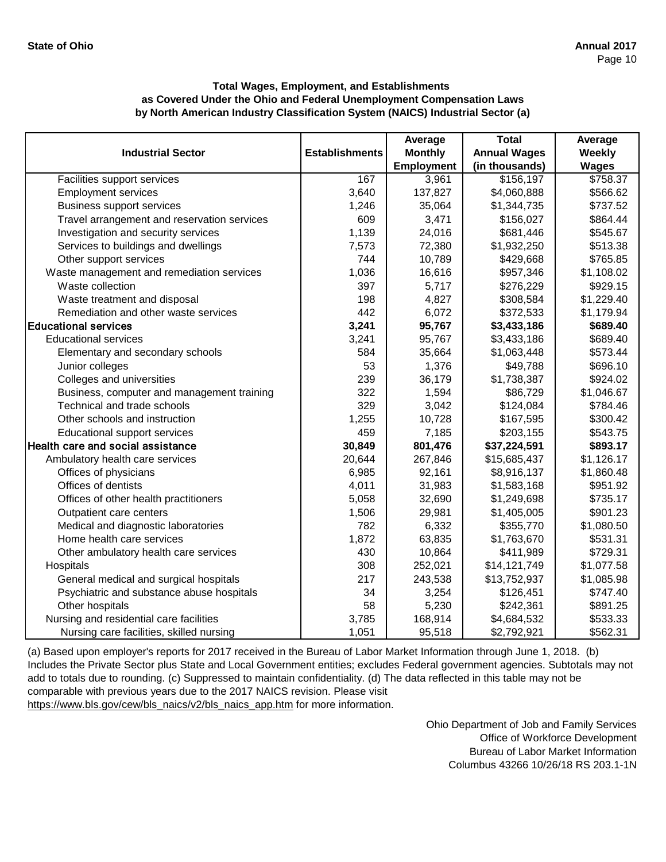|                                             |                       | Average           | <b>Total</b>        | Average      |
|---------------------------------------------|-----------------------|-------------------|---------------------|--------------|
| <b>Industrial Sector</b>                    | <b>Establishments</b> | <b>Monthly</b>    | <b>Annual Wages</b> | Weekly       |
|                                             |                       | <b>Employment</b> | (in thousands)      | <b>Wages</b> |
| Facilities support services                 | 167                   | 3,961             | \$156,197           | \$758.37     |
| <b>Employment services</b>                  | 3,640                 | 137,827           | \$4,060,888         | \$566.62     |
| <b>Business support services</b>            | 1,246                 | 35,064            | \$1,344,735         | \$737.52     |
| Travel arrangement and reservation services | 609                   | 3,471             | \$156,027           | \$864.44     |
| Investigation and security services         | 1,139                 | 24,016            | \$681,446           | \$545.67     |
| Services to buildings and dwellings         | 7,573                 | 72,380            | \$1,932,250         | \$513.38     |
| Other support services                      | 744                   | 10,789            | \$429,668           | \$765.85     |
| Waste management and remediation services   | 1,036                 | 16,616            | \$957,346           | \$1,108.02   |
| Waste collection                            | 397                   | 5,717             | \$276,229           | \$929.15     |
| Waste treatment and disposal                | 198                   | 4,827             | \$308,584           | \$1,229.40   |
| Remediation and other waste services        | 442                   | 6,072             | \$372,533           | \$1,179.94   |
| <b>Educational services</b>                 | 3,241                 | 95,767            | \$3,433,186         | \$689.40     |
| <b>Educational services</b>                 | 3,241                 | 95,767            | \$3,433,186         | \$689.40     |
| Elementary and secondary schools            | 584                   | 35,664            | \$1,063,448         | \$573.44     |
| Junior colleges                             | 53                    | 1,376             | \$49,788            | \$696.10     |
| Colleges and universities                   | 239                   | 36,179            | \$1,738,387         | \$924.02     |
| Business, computer and management training  | 322                   | 1,594             | \$86,729            | \$1,046.67   |
| Technical and trade schools                 | 329                   | 3,042             | \$124,084           | \$784.46     |
| Other schools and instruction               | 1,255                 | 10,728            | \$167,595           | \$300.42     |
| <b>Educational support services</b>         | 459                   | 7,185             | \$203,155           | \$543.75     |
| Health care and social assistance           | 30,849                | 801,476           | \$37,224,591        | \$893.17     |
| Ambulatory health care services             | 20,644                | 267,846           | \$15,685,437        | \$1,126.17   |
| Offices of physicians                       | 6,985                 | 92,161            | \$8,916,137         | \$1,860.48   |
| Offices of dentists                         | 4,011                 | 31,983            | \$1,583,168         | \$951.92     |
| Offices of other health practitioners       | 5,058                 | 32,690            | \$1,249,698         | \$735.17     |
| Outpatient care centers                     | 1,506                 | 29,981            | \$1,405,005         | \$901.23     |
| Medical and diagnostic laboratories         | 782                   | 6,332             | \$355,770           | \$1,080.50   |
| Home health care services                   | 1,872                 | 63,835            | \$1,763,670         | \$531.31     |
| Other ambulatory health care services       | 430                   | 10,864            | \$411,989           | \$729.31     |
| Hospitals                                   | 308                   | 252,021           | \$14,121,749        | \$1,077.58   |
| General medical and surgical hospitals      | 217                   | 243,538           | \$13,752,937        | \$1,085.98   |
| Psychiatric and substance abuse hospitals   | 34                    | 3,254             | \$126,451           | \$747.40     |
| Other hospitals                             | 58                    | 5,230             | \$242,361           | \$891.25     |
| Nursing and residential care facilities     | 3,785                 | 168,914           | \$4,684,532         | \$533.33     |
| Nursing care facilities, skilled nursing    | 1,051                 | 95,518            | \$2,792,921         | \$562.31     |

[\(a\) Based upon employer's reports for 2017 received in the](https://www.bls.gov/cew/bls_naics/v2/bls_naics_app.htm) Bureau of Labor Market Information through June 1, 2018. (b) [Includes the Private Sector plus State and Local Governme](https://www.bls.gov/cew/bls_naics/v2/bls_naics_app.htm)nt entities; excludes Federal government agencies. Subtotals may not [add to totals due to rounding. \(c\) Suppressed to maintain c](https://www.bls.gov/cew/bls_naics/v2/bls_naics_app.htm)onfidentiality. (d) The data reflected in this table may not be [comparable with previous years due to the 2017 NAICS re](https://www.bls.gov/cew/bls_naics/v2/bls_naics_app.htm)vision. Please visit [https://www.bls.gov/cew/bls\\_naics/v2/bls\\_naics\\_app.htm fo](https://www.bls.gov/cew/bls_naics/v2/bls_naics_app.htm)r more information.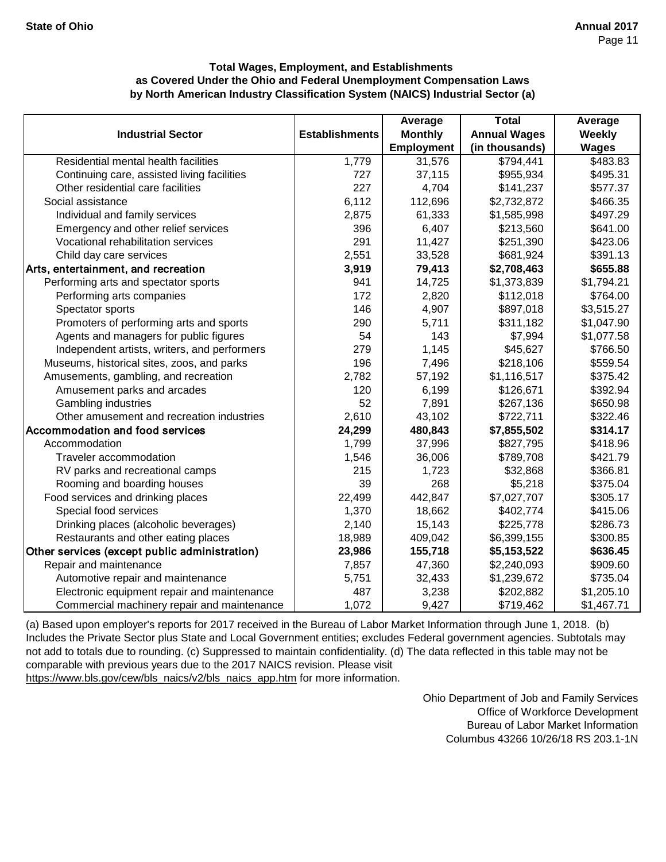|                                               |                       | Average           | <b>Total</b>        | Average      |
|-----------------------------------------------|-----------------------|-------------------|---------------------|--------------|
| <b>Industrial Sector</b>                      | <b>Establishments</b> | <b>Monthly</b>    | <b>Annual Wages</b> | Weekly       |
|                                               |                       | <b>Employment</b> | (in thousands)      | <b>Wages</b> |
| Residential mental health facilities          | 1,779                 | 31,576            | \$794,441           | \$483.83     |
| Continuing care, assisted living facilities   | 727                   | 37,115            | \$955,934           | \$495.31     |
| Other residential care facilities             | 227                   | 4,704             | \$141,237           | \$577.37     |
| Social assistance                             | 6,112                 | 112,696           | \$2,732,872         | \$466.35     |
| Individual and family services                | 2,875                 | 61,333            | \$1,585,998         | \$497.29     |
| Emergency and other relief services           | 396                   | 6,407             | \$213,560           | \$641.00     |
| Vocational rehabilitation services            | 291                   | 11,427            | \$251,390           | \$423.06     |
| Child day care services                       | 2,551                 | 33,528            | \$681,924           | \$391.13     |
| Arts, entertainment, and recreation           | 3,919                 | 79,413            | \$2,708,463         | \$655.88     |
| Performing arts and spectator sports          | 941                   | 14,725            | \$1,373,839         | \$1,794.21   |
| Performing arts companies                     | 172                   | 2,820             | \$112,018           | \$764.00     |
| Spectator sports                              | 146                   | 4,907             | \$897,018           | \$3,515.27   |
| Promoters of performing arts and sports       | 290                   | 5,711             | \$311,182           | \$1,047.90   |
| Agents and managers for public figures        | 54                    | 143               | \$7,994             | \$1,077.58   |
| Independent artists, writers, and performers  | 279                   | 1,145             | \$45,627            | \$766.50     |
| Museums, historical sites, zoos, and parks    | 196                   | 7,496             | \$218,106           | \$559.54     |
| Amusements, gambling, and recreation          | 2,782                 | 57,192            | \$1,116,517         | \$375.42     |
| Amusement parks and arcades                   | 120                   | 6,199             | \$126,671           | \$392.94     |
| Gambling industries                           | 52                    | 7,891             | \$267,136           | \$650.98     |
| Other amusement and recreation industries     | 2,610                 | 43,102            | \$722,711           | \$322.46     |
| <b>Accommodation and food services</b>        | 24,299                | 480,843           | \$7,855,502         | \$314.17     |
| Accommodation                                 | 1,799                 | 37,996            | \$827,795           | \$418.96     |
| Traveler accommodation                        | 1,546                 | 36,006            | \$789,708           | \$421.79     |
| RV parks and recreational camps               | 215                   | 1,723             | \$32,868            | \$366.81     |
| Rooming and boarding houses                   | 39                    | 268               | \$5,218             | \$375.04     |
| Food services and drinking places             | 22,499                | 442,847           | \$7,027,707         | \$305.17     |
| Special food services                         | 1,370                 | 18,662            | \$402,774           | \$415.06     |
| Drinking places (alcoholic beverages)         | 2,140                 | 15,143            | \$225,778           | \$286.73     |
| Restaurants and other eating places           | 18,989                | 409,042           | \$6,399,155         | \$300.85     |
| Other services (except public administration) | 23,986                | 155,718           | \$5,153,522         | \$636.45     |
| Repair and maintenance                        | 7,857                 | 47,360            | \$2,240,093         | \$909.60     |
| Automotive repair and maintenance             | 5,751                 | 32,433            | \$1,239,672         | \$735.04     |
| Electronic equipment repair and maintenance   | 487                   | 3,238             | \$202,882           | \$1,205.10   |
| Commercial machinery repair and maintenance   | 1,072                 | 9,427             | \$719,462           | \$1,467.71   |

[\(a\) Based upon employer's reports for 2017 received in t](https://www.bls.gov/cew/bls_naics/v2/bls_naics_app.htm)he Bureau of Labor Market Information through June 1, 2018. (b) [Includes the Private Sector plus State and Local Governm](https://www.bls.gov/cew/bls_naics/v2/bls_naics_app.htm)ent entities; excludes Federal government agencies. Subtotals may [not add to totals due to rounding. \(c\) Suppressed to main](https://www.bls.gov/cew/bls_naics/v2/bls_naics_app.htm)tain confidentiality. (d) The data reflected in this table may not be [comparable with previous years due to the 2017 NAICS](https://www.bls.gov/cew/bls_naics/v2/bls_naics_app.htm) revision. Please visit

[https://www.bls.gov/cew/bls\\_naics/v2/bls\\_naics\\_app.htm](https://www.bls.gov/cew/bls_naics/v2/bls_naics_app.htm) for more information.